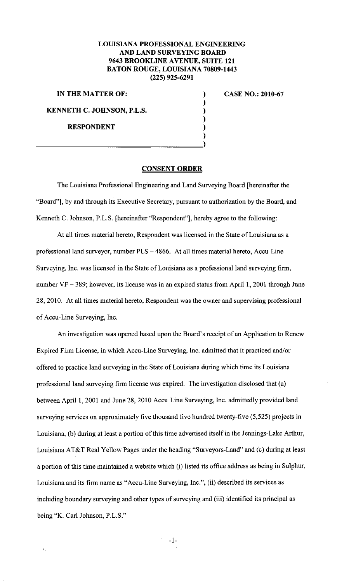## **LOUISIANA PROFESSIONAL ENGINEERING AND LAND SURVEYING BOARD 9643 BROOKLINE A VENUE, SUITE 121 BATON ROUGE, LOUISIANA 70809-1443 (225) 925-6291**

) ) ) ) ) )

**IN THE MATTER OF:** 

**KENNETH C. JOHNSON, P.L.S.** 

**RESPONDENT** 

**CASE NO.: 2010-67** 

## **CONSENT ORDER**

The Louisiana Professional Engineering and Land Surveying Board [hereinafter the "Board"], by and through its Executive Secretary, pursuant to authorization by the Board, and Kenneth C. Johnson, P.L.S. [hereinafter "Respondent"], hereby agree to the following:

At all times material hereto, Respondent was licensed in the State of Louisiana as a professional land surveyor, number PLS - 4866. At all times material hereto, Accu-Line Surveying, Inc. was licensed in the State of Louisiana as a professional land surveying firm, number  $VF - 389$ ; however, its license was in an expired status from April 1, 2001 through June 28, 2010. At all times material hereto, Respondent was the owner and supervising professional of Accu-Line Surveying, Inc.

An investigation was opened based upon the Board's receipt of an Application to Renew Expired Firm License, in which Accu-Line Surveying, Inc. admitted that it practiced and/or offered to practice land surveying in the State of Louisiana during which time its Louisiana professional land surveying firm license was expired. The investigation disclosed that (a) between April 1, 2001 and June 28, 2010 Accu-Line Surveying, Inc. admittedly provided land surveying services on approximately five thousand five hundred twenty-five (5,525) projects in Louisiana, (b) during at least a portion of this time advertised itself in the Jennings-Lake Arthur, Louisiana AT&T Real Yellow Pages under the heading "Surveyors-Land" and (c) during at least a portion of this time maintained a website which (i) listed its office address as being in Sulphur, Louisiana and its firm name as "Accu-Line Surveying, Inc.", (ii) described its services as including boundary surveying and other types of surveying and (iii) identified its principal as being "K. Carl Johnson, P.L.S."

-1-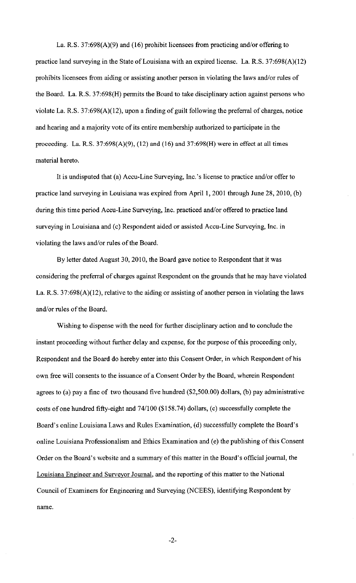La. R.S. 37:698(A)(9) and (16) prohibit licensees from practicing and/or offering to practice land surveying in the State of Louisiana with an expired license. La. R.S. 37:698(A)(l2) prohibits licensees from aiding or assisting another person in violating the laws and/or rules of the Board. La. R.S. 37:698(H) permits the Board to take disciplinary action against persons who violate La. R.S. 37:698(A)(l2), upon a finding of guilt following the preferral of charges, notice and hearing and a majority vote of its entire membership authorized to participate in the proceeding. La. R.S.  $37:698(A)(9)$ ,  $(12)$  and  $(16)$  and  $37:698(H)$  were in effect at all times material hereto.

It is undisputed that (a) Accu-Line Surveying, Inc.'s license to practice and/or offer to practice land surveying in Louisiana was expired from April 1, 2001 through June 28, 2010, (b) during this time period Accu-Line Surveying, Inc. practiced and/or offered to practice land surveying in Louisiana and (c) Respondent aided or assisted Accu-Line Surveying, Inc. in violating the laws and/or rules of the Board.

By letter dated August 30,2010, the Board gave notice to Respondent that it was considering the preferral of charges against Respondent on the grounds that he may have violated La. R.S. 37:698(A)(l2), relative to the aiding or assisting of another person in violating the laws and/or rules of the Board.

Wishing to dispense with the need for further disciplinary action and to conclude the instant proceeding without further delay and expense, for the purpose of this proceeding only, Respondent and the Board do hereby enter into this Consent Order, in which Respondent of his own free will consents to the issuance of a Consent Order by the Board, wherein Respondent agrees to (a) pay a fine of two thousand five hundred (\$2,500.00) dollars, (b) pay administrative costs of one hundred fifty-eight and 74/100 (\$158.74) dollars, (c) successfully complete the Board's online Louisiana Laws and Rules Examination, (d) successfully complete the Board's online Louisiana Professionalism and Ethics Examination and (e) the publishing of this Consent Order on the Board's website and a summary of this matter in the Board's official journal, the Louisiana Engineer and Surveyor Jouma1, and the reporting of this matter to the National Council of Examiners for Engineering and Surveying (NCEES), identifying Respondent by name.

-2-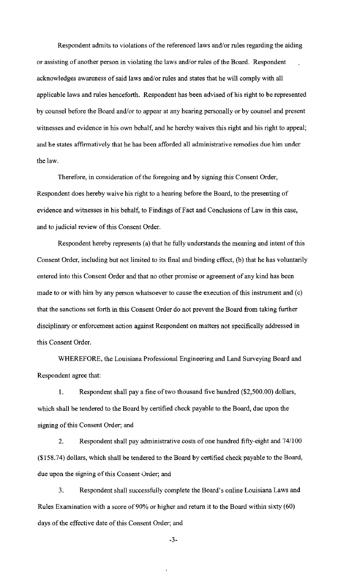Respondent admits to violations of the referenced laws and/or rules regarding the aiding or assisting of another person in violating the laws and/or rules of the Board. Respondent acknowledges awareness of said laws and/or rules and states that he will comply with all applicable laws and rules henceforth. Respondent has been advised of his right to be represented by counsel before the Board and/or to appear at any hearing personally or by counsel and present witnesses and evidence in his own behalf, and he hereby waives this right and his right to appeal; and he states affirmatively that he has been afforded all administrative remedies due him under the law.

Therefore, in consideration of the foregoing and by signing this Consent Order, Respondent does hereby waive his right to a hearing before the Board, to the presenting of evidence and witnesses in his behalf, to Findings of Fact and Conclusions of Law in this case, and to judicial review of this Consent Order.

Respondent hereby represents (a) that he fully understands the meaning and intent of this Consent Order, including but not limited to its final and binding effect, (b) that he has voluntarily entered into this Consent Order and that no other promise or agreement of any kind has been made to or with him by any person whatsoever to cause the execution of this instrument and (c) that the sanctions set forth in this Consent Order do not prevent the Board from taking further disciplinary or enforcement action against Respondent on matters not specifically addressed in this Consent Order.

WHEREFORE, the Louisiana Professional Engineering and Land Surveying Board and Respondent agree that:

I. Respondent shall pay a fine of two thousand five hundred (\$2,500.00) dollars, which shall be tendered to the Board by certified check payable to the Board, due upon the signing of this Consent Order; and

2. Respondent shall pay administrative costs of one hundred fifty-eight and 74/100 (\$158.74) dollars, which shall be tendered to the Board by certified check payable to the Board, due upon the signing of this Consent Order; and

3. Respondent shall successfully complete the Board's online Louisiana Laws and Rules Examination with a score of 90% or higher and return it to the Board within sixty (60) days of the effective date of this Consent Order; and

-3-